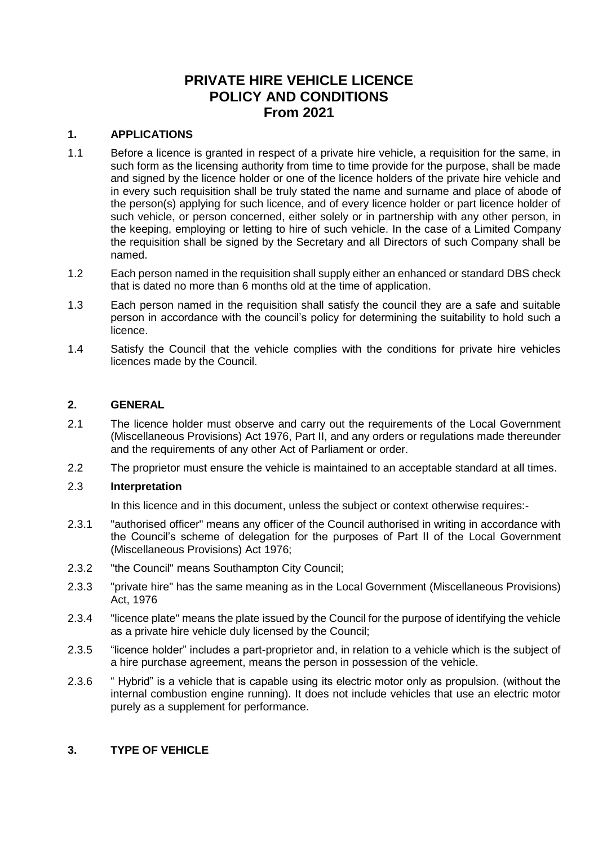# **PRIVATE HIRE VEHICLE LICENCE POLICY AND CONDITIONS From 2021**

## **1. APPLICATIONS**

- 1.1 Before a licence is granted in respect of a private hire vehicle, a requisition for the same, in such form as the licensing authority from time to time provide for the purpose, shall be made and signed by the licence holder or one of the licence holders of the private hire vehicle and in every such requisition shall be truly stated the name and surname and place of abode of the person(s) applying for such licence, and of every licence holder or part licence holder of such vehicle, or person concerned, either solely or in partnership with any other person, in the keeping, employing or letting to hire of such vehicle. In the case of a Limited Company the requisition shall be signed by the Secretary and all Directors of such Company shall be named.
- 1.2 Each person named in the requisition shall supply either an enhanced or standard DBS check that is dated no more than 6 months old at the time of application.
- 1.3 Each person named in the requisition shall satisfy the council they are a safe and suitable person in accordance with the council's policy for determining the suitability to hold such a licence.
- 1.4 Satisfy the Council that the vehicle complies with the conditions for private hire vehicles licences made by the Council.

## **2. GENERAL**

- 2.1 The licence holder must observe and carry out the requirements of the Local Government (Miscellaneous Provisions) Act 1976, Part II, and any orders or regulations made thereunder and the requirements of any other Act of Parliament or order.
- 2.2 The proprietor must ensure the vehicle is maintained to an acceptable standard at all times.

#### 2.3 **Interpretation**

In this licence and in this document, unless the subject or context otherwise requires:-

- 2.3.1 "authorised officer" means any officer of the Council authorised in writing in accordance with the Council's scheme of delegation for the purposes of Part II of the Local Government (Miscellaneous Provisions) Act 1976;
- 2.3.2 "the Council" means Southampton City Council;
- 2.3.3 "private hire" has the same meaning as in the Local Government (Miscellaneous Provisions) Act, 1976
- 2.3.4 "licence plate" means the plate issued by the Council for the purpose of identifying the vehicle as a private hire vehicle duly licensed by the Council;
- 2.3.5 "licence holder" includes a part-proprietor and, in relation to a vehicle which is the subject of a hire purchase agreement, means the person in possession of the vehicle.
- 2.3.6 " Hybrid" is a vehicle that is capable using its electric motor only as propulsion. (without the internal combustion engine running). It does not include vehicles that use an electric motor purely as a supplement for performance.

#### **3. TYPE OF VEHICLE**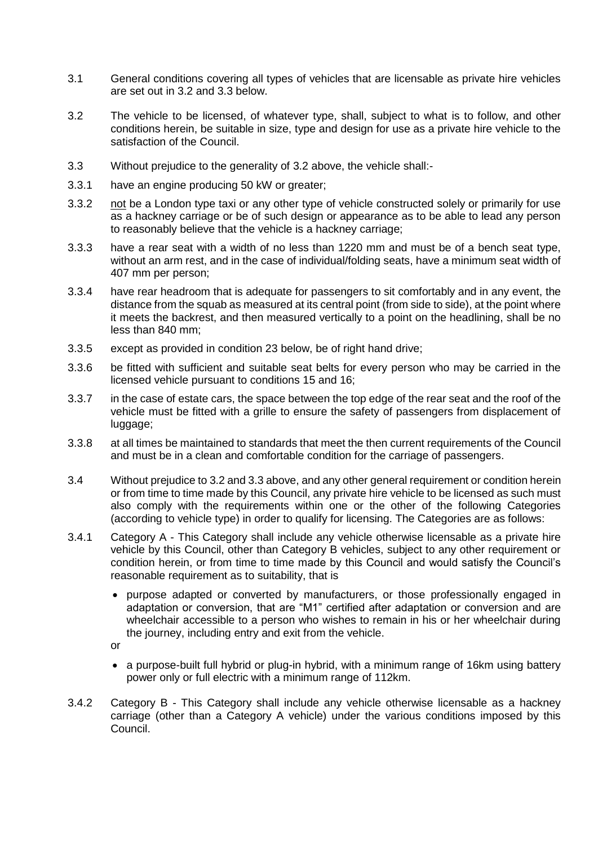- 3.1 General conditions covering all types of vehicles that are licensable as private hire vehicles are set out in 3.2 and 3.3 below.
- 3.2 The vehicle to be licensed, of whatever type, shall, subject to what is to follow, and other conditions herein, be suitable in size, type and design for use as a private hire vehicle to the satisfaction of the Council.
- 3.3 Without prejudice to the generality of 3.2 above, the vehicle shall:-
- 3.3.1 have an engine producing 50 kW or greater;
- 3.3.2 not be a London type taxi or any other type of vehicle constructed solely or primarily for use as a hackney carriage or be of such design or appearance as to be able to lead any person to reasonably believe that the vehicle is a hackney carriage;
- 3.3.3 have a rear seat with a width of no less than 1220 mm and must be of a bench seat type, without an arm rest, and in the case of individual/folding seats, have a minimum seat width of 407 mm per person;
- 3.3.4 have rear headroom that is adequate for passengers to sit comfortably and in any event, the distance from the squab as measured at its central point (from side to side), at the point where it meets the backrest, and then measured vertically to a point on the headlining, shall be no less than 840 mm;
- 3.3.5 except as provided in condition 23 below, be of right hand drive;
- 3.3.6 be fitted with sufficient and suitable seat belts for every person who may be carried in the licensed vehicle pursuant to conditions 15 and 16;
- 3.3.7 in the case of estate cars, the space between the top edge of the rear seat and the roof of the vehicle must be fitted with a grille to ensure the safety of passengers from displacement of luggage;
- 3.3.8 at all times be maintained to standards that meet the then current requirements of the Council and must be in a clean and comfortable condition for the carriage of passengers.
- 3.4 Without prejudice to 3.2 and 3.3 above, and any other general requirement or condition herein or from time to time made by this Council, any private hire vehicle to be licensed as such must also comply with the requirements within one or the other of the following Categories (according to vehicle type) in order to qualify for licensing. The Categories are as follows:
- 3.4.1 Category A This Category shall include any vehicle otherwise licensable as a private hire vehicle by this Council, other than Category B vehicles, subject to any other requirement or condition herein, or from time to time made by this Council and would satisfy the Council's reasonable requirement as to suitability, that is
	- purpose adapted or converted by manufacturers, or those professionally engaged in adaptation or conversion, that are "M1" certified after adaptation or conversion and are wheelchair accessible to a person who wishes to remain in his or her wheelchair during the journey, including entry and exit from the vehicle.
	- or
	- a purpose-built full hybrid or plug-in hybrid, with a minimum range of 16km using battery power only or full electric with a minimum range of 112km.
- 3.4.2 Category B This Category shall include any vehicle otherwise licensable as a hackney carriage (other than a Category A vehicle) under the various conditions imposed by this Council.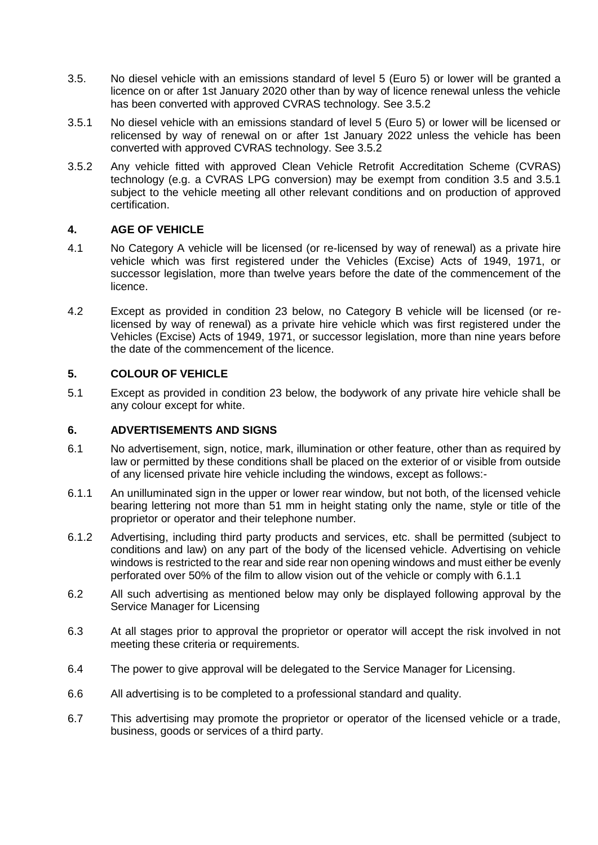- 3.5. No diesel vehicle with an emissions standard of level 5 (Euro 5) or lower will be granted a licence on or after 1st January 2020 other than by way of licence renewal unless the vehicle has been converted with approved CVRAS technology. See 3.5.2
- 3.5.1 No diesel vehicle with an emissions standard of level 5 (Euro 5) or lower will be licensed or relicensed by way of renewal on or after 1st January 2022 unless the vehicle has been converted with approved CVRAS technology. See 3.5.2
- 3.5.2 Any vehicle fitted with approved Clean Vehicle Retrofit Accreditation Scheme (CVRAS) technology (e.g. a CVRAS LPG conversion) may be exempt from condition 3.5 and 3.5.1 subject to the vehicle meeting all other relevant conditions and on production of approved certification.

## **4. AGE OF VEHICLE**

- 4.1 No Category A vehicle will be licensed (or re-licensed by way of renewal) as a private hire vehicle which was first registered under the Vehicles (Excise) Acts of 1949, 1971, or successor legislation, more than twelve years before the date of the commencement of the licence.
- 4.2 Except as provided in condition 23 below, no Category B vehicle will be licensed (or relicensed by way of renewal) as a private hire vehicle which was first registered under the Vehicles (Excise) Acts of 1949, 1971, or successor legislation, more than nine years before the date of the commencement of the licence.

## **5. COLOUR OF VEHICLE**

5.1 Except as provided in condition 23 below, the bodywork of any private hire vehicle shall be any colour except for white.

#### **6. ADVERTISEMENTS AND SIGNS**

- 6.1 No advertisement, sign, notice, mark, illumination or other feature, other than as required by law or permitted by these conditions shall be placed on the exterior of or visible from outside of any licensed private hire vehicle including the windows, except as follows:-
- 6.1.1 An unilluminated sign in the upper or lower rear window, but not both, of the licensed vehicle bearing lettering not more than 51 mm in height stating only the name, style or title of the proprietor or operator and their telephone number.
- 6.1.2 Advertising, including third party products and services, etc. shall be permitted (subject to conditions and law) on any part of the body of the licensed vehicle. Advertising on vehicle windows is restricted to the rear and side rear non opening windows and must either be evenly perforated over 50% of the film to allow vision out of the vehicle or comply with 6.1.1
- 6.2 All such advertising as mentioned below may only be displayed following approval by the Service Manager for Licensing
- 6.3 At all stages prior to approval the proprietor or operator will accept the risk involved in not meeting these criteria or requirements.
- 6.4 The power to give approval will be delegated to the Service Manager for Licensing.
- 6.6 All advertising is to be completed to a professional standard and quality.
- 6.7 This advertising may promote the proprietor or operator of the licensed vehicle or a trade, business, goods or services of a third party.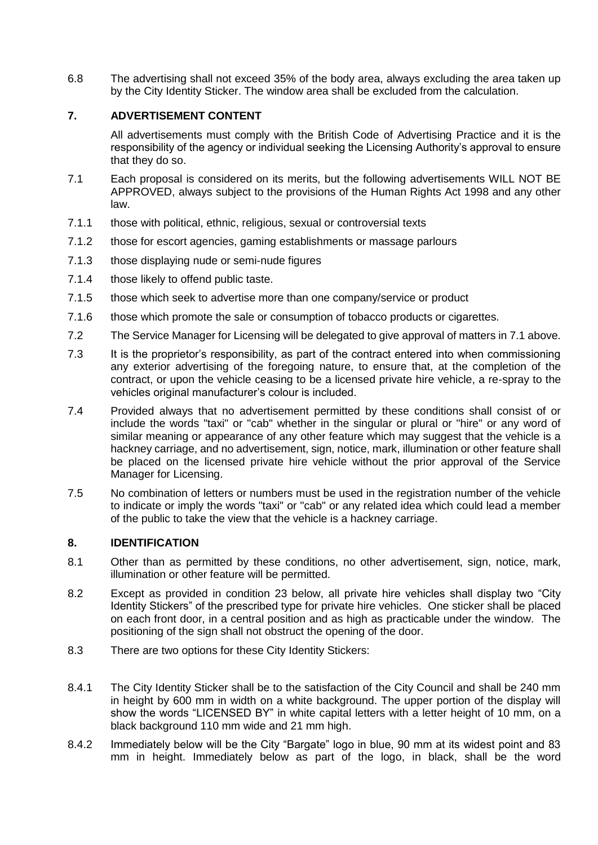6.8 The advertising shall not exceed 35% of the body area, always excluding the area taken up by the City Identity Sticker. The window area shall be excluded from the calculation.

## **7. ADVERTISEMENT CONTENT**

All advertisements must comply with the British Code of Advertising Practice and it is the responsibility of the agency or individual seeking the Licensing Authority's approval to ensure that they do so.

- 7.1 Each proposal is considered on its merits, but the following advertisements WILL NOT BE APPROVED, always subject to the provisions of the Human Rights Act 1998 and any other law.
- 7.1.1 those with political, ethnic, religious, sexual or controversial texts
- 7.1.2 those for escort agencies, gaming establishments or massage parlours
- 7.1.3 those displaying nude or semi-nude figures
- 7.1.4 those likely to offend public taste.
- 7.1.5 those which seek to advertise more than one company/service or product
- 7.1.6 those which promote the sale or consumption of tobacco products or cigarettes.
- 7.2 The Service Manager for Licensing will be delegated to give approval of matters in 7.1 above.
- 7.3 It is the proprietor's responsibility, as part of the contract entered into when commissioning any exterior advertising of the foregoing nature, to ensure that, at the completion of the contract, or upon the vehicle ceasing to be a licensed private hire vehicle, a re-spray to the vehicles original manufacturer's colour is included.
- 7.4 Provided always that no advertisement permitted by these conditions shall consist of or include the words "taxi" or "cab" whether in the singular or plural or "hire" or any word of similar meaning or appearance of any other feature which may suggest that the vehicle is a hackney carriage, and no advertisement, sign, notice, mark, illumination or other feature shall be placed on the licensed private hire vehicle without the prior approval of the Service Manager for Licensing.
- 7.5 No combination of letters or numbers must be used in the registration number of the vehicle to indicate or imply the words "taxi" or "cab" or any related idea which could lead a member of the public to take the view that the vehicle is a hackney carriage.

## **8. IDENTIFICATION**

- 8.1 Other than as permitted by these conditions, no other advertisement, sign, notice, mark, illumination or other feature will be permitted.
- 8.2 Except as provided in condition 23 below, all private hire vehicles shall display two "City Identity Stickers" of the prescribed type for private hire vehicles. One sticker shall be placed on each front door, in a central position and as high as practicable under the window. The positioning of the sign shall not obstruct the opening of the door.
- 8.3 There are two options for these City Identity Stickers:
- 8.4.1 The City Identity Sticker shall be to the satisfaction of the City Council and shall be 240 mm in height by 600 mm in width on a white background. The upper portion of the display will show the words "LICENSED BY" in white capital letters with a letter height of 10 mm, on a black background 110 mm wide and 21 mm high.
- 8.4.2 Immediately below will be the City "Bargate" logo in blue, 90 mm at its widest point and 83 mm in height. Immediately below as part of the logo, in black, shall be the word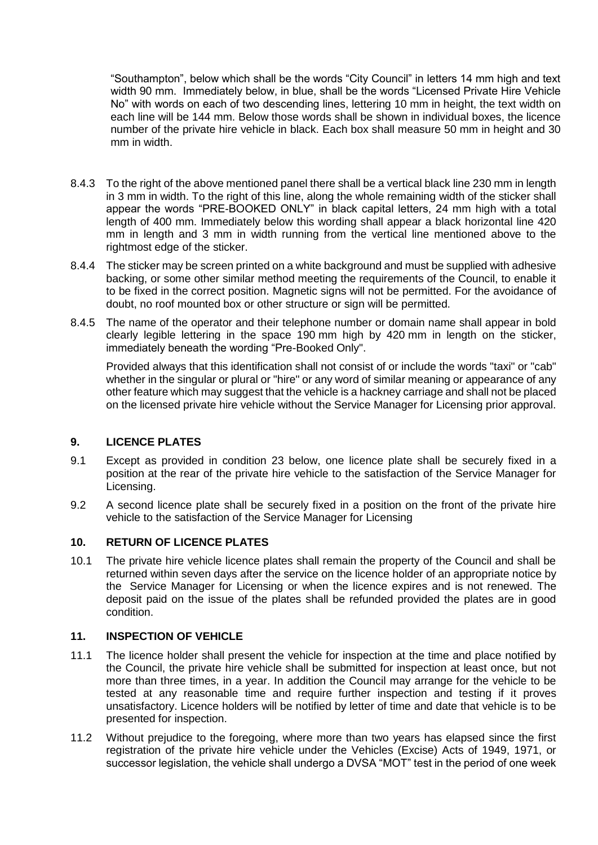"Southampton", below which shall be the words "City Council" in letters 14 mm high and text width 90 mm. Immediately below, in blue, shall be the words "Licensed Private Hire Vehicle No" with words on each of two descending lines, lettering 10 mm in height, the text width on each line will be 144 mm. Below those words shall be shown in individual boxes, the licence number of the private hire vehicle in black. Each box shall measure 50 mm in height and 30 mm in width.

- 8.4.3 To the right of the above mentioned panel there shall be a vertical black line 230 mm in length in 3 mm in width. To the right of this line, along the whole remaining width of the sticker shall appear the words "PRE-BOOKED ONLY" in black capital letters, 24 mm high with a total length of 400 mm. Immediately below this wording shall appear a black horizontal line 420 mm in length and 3 mm in width running from the vertical line mentioned above to the rightmost edge of the sticker.
- 8.4.4 The sticker may be screen printed on a white background and must be supplied with adhesive backing, or some other similar method meeting the requirements of the Council, to enable it to be fixed in the correct position. Magnetic signs will not be permitted. For the avoidance of doubt, no roof mounted box or other structure or sign will be permitted.
- 8.4.5 The name of the operator and their telephone number or domain name shall appear in bold clearly legible lettering in the space 190 mm high by 420 mm in length on the sticker, immediately beneath the wording "Pre-Booked Only".

Provided always that this identification shall not consist of or include the words "taxi" or "cab" whether in the singular or plural or "hire" or any word of similar meaning or appearance of any other feature which may suggest that the vehicle is a hackney carriage and shall not be placed on the licensed private hire vehicle without the Service Manager for Licensing prior approval.

## **9. LICENCE PLATES**

- 9.1 Except as provided in condition 23 below, one licence plate shall be securely fixed in a position at the rear of the private hire vehicle to the satisfaction of the Service Manager for Licensing.
- 9.2 A second licence plate shall be securely fixed in a position on the front of the private hire vehicle to the satisfaction of the Service Manager for Licensing

## **10. RETURN OF LICENCE PLATES**

10.1 The private hire vehicle licence plates shall remain the property of the Council and shall be returned within seven days after the service on the licence holder of an appropriate notice by the Service Manager for Licensing or when the licence expires and is not renewed. The deposit paid on the issue of the plates shall be refunded provided the plates are in good condition.

# **11. INSPECTION OF VEHICLE**

- 11.1 The licence holder shall present the vehicle for inspection at the time and place notified by the Council, the private hire vehicle shall be submitted for inspection at least once, but not more than three times, in a year. In addition the Council may arrange for the vehicle to be tested at any reasonable time and require further inspection and testing if it proves unsatisfactory. Licence holders will be notified by letter of time and date that vehicle is to be presented for inspection.
- 11.2 Without prejudice to the foregoing, where more than two years has elapsed since the first registration of the private hire vehicle under the Vehicles (Excise) Acts of 1949, 1971, or successor legislation, the vehicle shall undergo a DVSA "MOT" test in the period of one week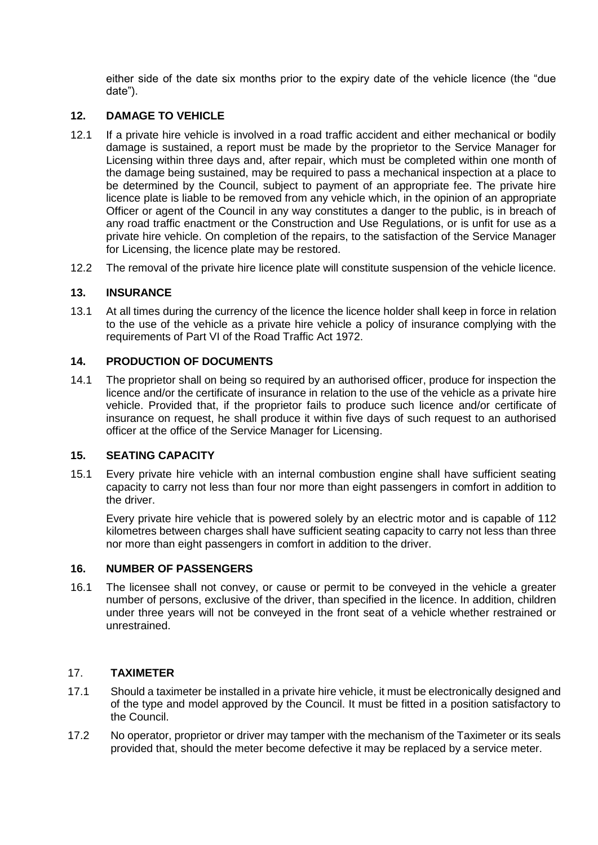either side of the date six months prior to the expiry date of the vehicle licence (the "due date").

## **12. DAMAGE TO VEHICLE**

- 12.1 If a private hire vehicle is involved in a road traffic accident and either mechanical or bodily damage is sustained, a report must be made by the proprietor to the Service Manager for Licensing within three days and, after repair, which must be completed within one month of the damage being sustained, may be required to pass a mechanical inspection at a place to be determined by the Council, subject to payment of an appropriate fee. The private hire licence plate is liable to be removed from any vehicle which, in the opinion of an appropriate Officer or agent of the Council in any way constitutes a danger to the public, is in breach of any road traffic enactment or the Construction and Use Regulations, or is unfit for use as a private hire vehicle. On completion of the repairs, to the satisfaction of the Service Manager for Licensing, the licence plate may be restored.
- 12.2 The removal of the private hire licence plate will constitute suspension of the vehicle licence.

## **13. INSURANCE**

13.1 At all times during the currency of the licence the licence holder shall keep in force in relation to the use of the vehicle as a private hire vehicle a policy of insurance complying with the requirements of Part VI of the Road Traffic Act 1972.

### **14. PRODUCTION OF DOCUMENTS**

14.1 The proprietor shall on being so required by an authorised officer, produce for inspection the licence and/or the certificate of insurance in relation to the use of the vehicle as a private hire vehicle. Provided that, if the proprietor fails to produce such licence and/or certificate of insurance on request, he shall produce it within five days of such request to an authorised officer at the office of the Service Manager for Licensing.

## **15. SEATING CAPACITY**

15.1 Every private hire vehicle with an internal combustion engine shall have sufficient seating capacity to carry not less than four nor more than eight passengers in comfort in addition to the driver.

Every private hire vehicle that is powered solely by an electric motor and is capable of 112 kilometres between charges shall have sufficient seating capacity to carry not less than three nor more than eight passengers in comfort in addition to the driver.

#### **16. NUMBER OF PASSENGERS**

16.1 The licensee shall not convey, or cause or permit to be conveyed in the vehicle a greater number of persons, exclusive of the driver, than specified in the licence. In addition, children under three years will not be conveyed in the front seat of a vehicle whether restrained or unrestrained.

## 17. **TAXIMETER**

- 17.1 Should a taximeter be installed in a private hire vehicle, it must be electronically designed and of the type and model approved by the Council. It must be fitted in a position satisfactory to the Council.
- 17.2 No operator, proprietor or driver may tamper with the mechanism of the Taximeter or its seals provided that, should the meter become defective it may be replaced by a service meter.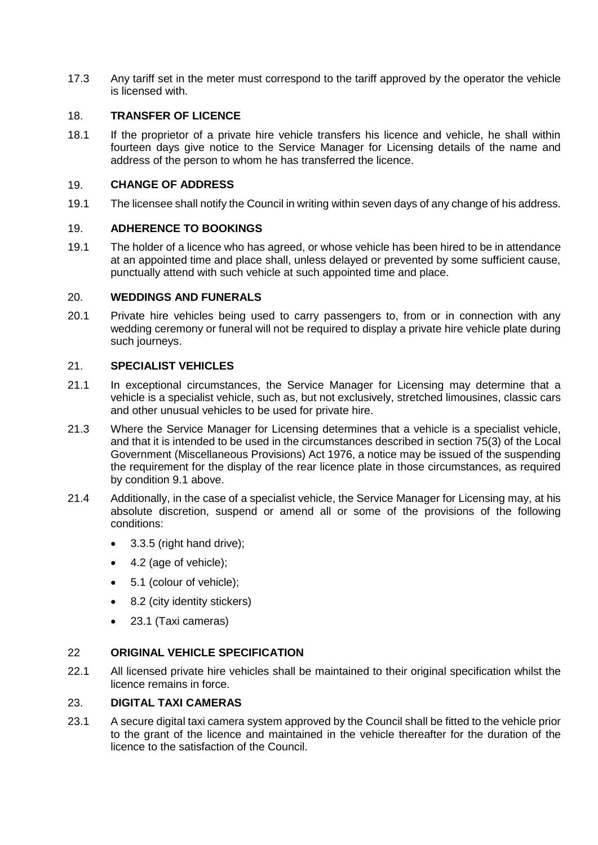17.3 Any tariff set in the meter must correspond to the tariff approved by the operator the vehicle is licensed with.

## 18. **TRANSFER OF LICENCE**

18.1 If the proprietor of a private hire vehicle transfers his licence and vehicle, he shall within fourteen days give notice to the Service Manager for Licensing details of the name and address of the person to whom he has transferred the licence.

## 19. **CHANGE OF ADDRESS**

19.1 The licensee shall notify the Council in writing within seven days of any change of his address.

## 19. **ADHERENCE TO BOOKINGS**

19.1 The holder of a licence who has agreed, or whose vehicle has been hired to be in attendance at an appointed time and place shall, unless delayed or prevented by some sufficient cause, punctually attend with such vehicle at such appointed time and place.

## 20. **WEDDINGS AND FUNERALS**

20.1 Private hire vehicles being used to carry passengers to, from or in connection with any wedding ceremony or funeral will not be required to display a private hire vehicle plate during such journeys.

### 21. **SPECIALIST VEHICLES**

- 21.1 In exceptional circumstances, the Service Manager for Licensing may determine that a vehicle is a specialist vehicle, such as, but not exclusively, stretched limousines, classic cars and other unusual vehicles to be used for private hire.
- 21.3 Where the Service Manager for Licensing determines that a vehicle is a specialist vehicle, and that it is intended to be used in the circumstances described in section 75(3) of the Local Government (Miscellaneous Provisions) Act 1976, a notice may be issued of the suspending the requirement for the display of the rear licence plate in those circumstances, as required by condition 9.1 above.
- 21.4 Additionally, in the case of a specialist vehicle, the Service Manager for Licensing may, at his absolute discretion, suspend or amend all or some of the provisions of the following conditions:
	- $\bullet$  3.3.5 (right hand drive);
	- 4.2 (age of vehicle);
	- 5.1 (colour of vehicle);
	- 8.2 (city identity stickers)
	- 23.1 (Taxi cameras)

## 22 **ORIGINAL VEHICLE SPECIFICATION**

22.1 All licensed private hire vehicles shall be maintained to their original specification whilst the licence remains in force.

## 23. **DIGITAL TAXI CAMERAS**

23.1 A secure digital taxi camera system approved by the Council shall be fitted to the vehicle prior to the grant of the licence and maintained in the vehicle thereafter for the duration of the licence to the satisfaction of the Council.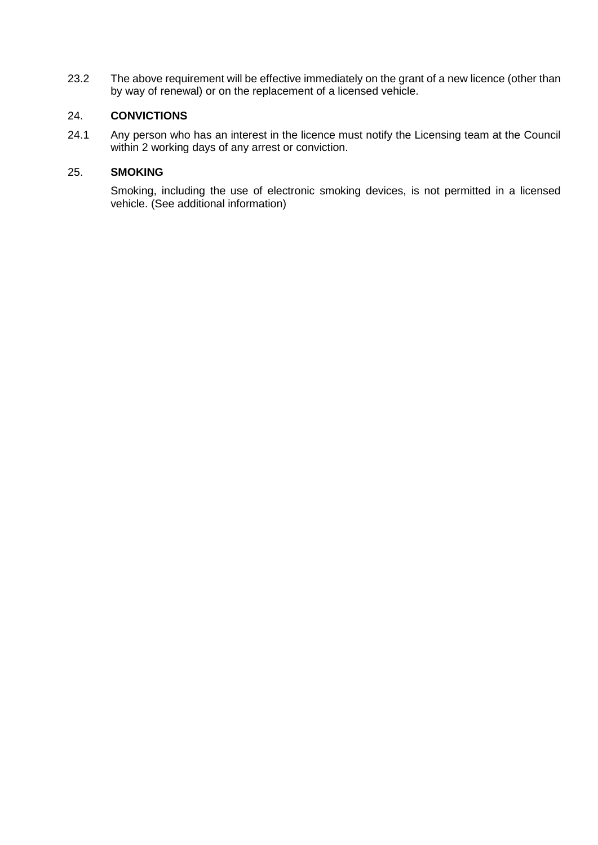23.2 The above requirement will be effective immediately on the grant of a new licence (other than by way of renewal) or on the replacement of a licensed vehicle.

# 24. **CONVICTIONS**

24.1 Any person who has an interest in the licence must notify the Licensing team at the Council within 2 working days of any arrest or conviction.

## 25. **SMOKING**

Smoking, including the use of electronic smoking devices, is not permitted in a licensed vehicle. (See additional information)